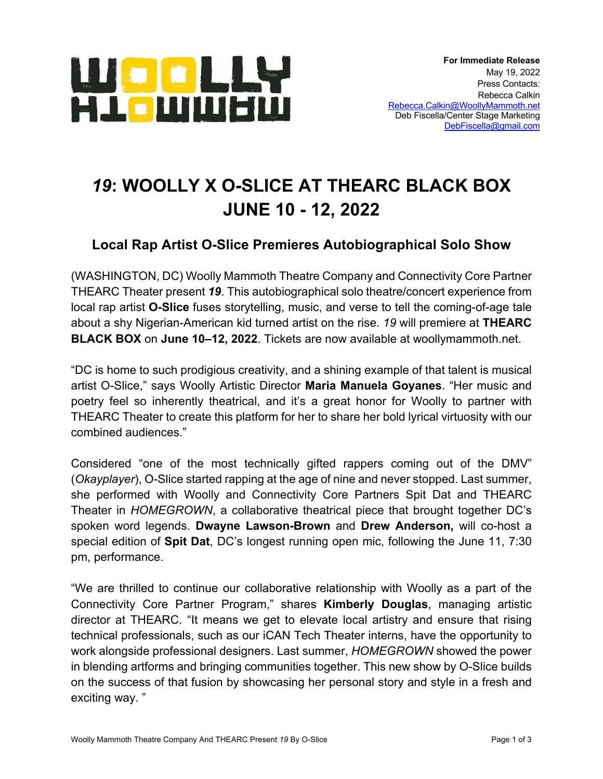

# *19***: WOOLLY X O-SLICE AT THEARC BLACK BOX JUNE 10 - 12, 2022**

## **Local Rap Artist O-Slice Premieres Autobiographical Solo Show**

(WASHINGTON, DC) Woolly Mammoth Theatre Company and Connectivity Core Partner THEARC Theater present *19*. This autobiographical solo theatre/concert experience from local rap artist **O-Slice** fuses storytelling, music, and verse to tell the coming-of-age tale about a shy Nigerian-American kid turned artist on the rise. *19* will premiere at **THEARC BLACK BOX** on **June 10–12, 2022**. Tickets are now available at woollymammoth.net.

"DC is home to such prodigious creativity, and a shining example of that talent is musical artist O-Slice," says Woolly Artistic Director **Maria Manuela Goyanes**. "Her music and poetry feel so inherently theatrical, and it's a great honor for Woolly to partner with THEARC Theater to create this platform for her to share her bold lyrical virtuosity with our combined audiences."

Considered "one of the most technically gifted rappers coming out of the DMV" (*Okayplayer*), O-Slice started rapping at the age of nine and never stopped. Last summer, she performed with Woolly and Connectivity Core Partners Spit Dat and THEARC Theater in *HOMEGROWN*, a collaborative theatrical piece that brought together DC's spoken word legends. **Dwayne Lawson-Brown** and **Drew Anderson,** will co-host a special edition of **Spit Dat**, DC's longest running open mic, following the June 11, 7:30 pm, performance.

"We are thrilled to continue our collaborative relationship with Woolly as a part of the Connectivity Core Partner Program," shares **Kimberly Douglas**, managing artistic director at THEARC. "It means we get to elevate local artistry and ensure that rising technical professionals, such as our iCAN Tech Theater interns, have the opportunity to work alongside professional designers. Last summer, *HOMEGROWN* showed the power in blending artforms and bringing communities together. This new show by O-Slice builds on the success of that fusion by showcasing her personal story and style in a fresh and exciting way. "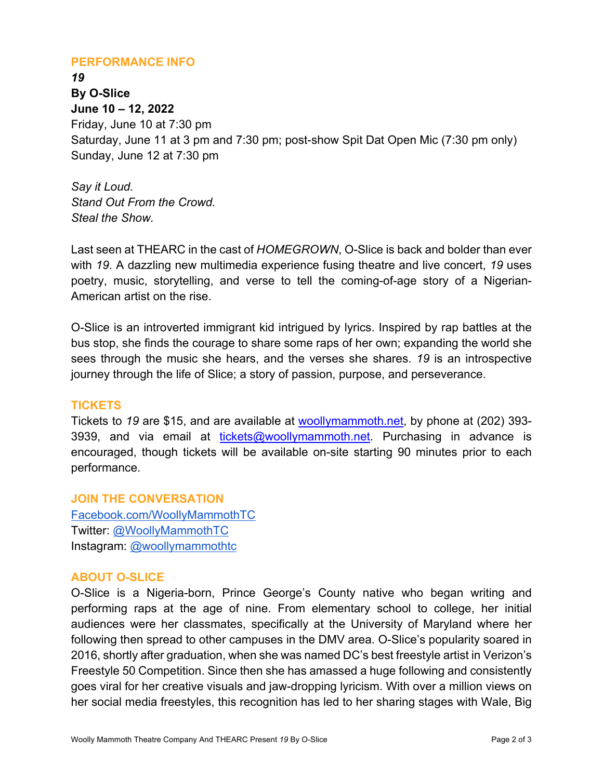#### **PERFORMANCE INFO**

*19* **By O-Slice June 10 – 12, 2022** Friday, June 10 at 7:30 pm Saturday, June 11 at 3 pm and 7:30 pm; post-show Spit Dat Open Mic (7:30 pm only) Sunday, June 12 at 7:30 pm

*Say it Loud. Stand Out From the Crowd. Steal the Show.* 

Last seen at THEARC in the cast of *HOMEGROWN*, O-Slice is back and bolder than ever with *19*. A dazzling new multimedia experience fusing theatre and live concert, *19* uses poetry, music, storytelling, and verse to tell the coming-of-age story of a Nigerian-American artist on the rise.

O-Slice is an introverted immigrant kid intrigued by lyrics. Inspired by rap battles at the bus stop, she finds the courage to share some raps of her own; expanding the world she sees through the music she hears, and the verses she shares. *19* is an introspective journey through the life of Slice; a story of passion, purpose, and perseverance.

#### **TICKETS**

Tickets to *19* are \$15, and are available at woollymammoth.net, by phone at (202) 393- 3939, and via email at tickets@woollymammoth.net. Purchasing in advance is encouraged, though tickets will be available on-site starting 90 minutes prior to each performance.

**JOIN THE CONVERSATION**  Facebook.com/WoollyMammothTC Twitter: @WoollyMammothTC Instagram: @woollymammothtc

#### **ABOUT O-SLICE**

O-Slice is a Nigeria-born, Prince George's County native who began writing and performing raps at the age of nine. From elementary school to college, her initial audiences were her classmates, specifically at the University of Maryland where her following then spread to other campuses in the DMV area. O-Slice's popularity soared in 2016, shortly after graduation, when she was named DC's best freestyle artist in Verizon's Freestyle 50 Competition. Since then she has amassed a huge following and consistently goes viral for her creative visuals and jaw-dropping lyricism. With over a million views on her social media freestyles, this recognition has led to her sharing stages with Wale, Big